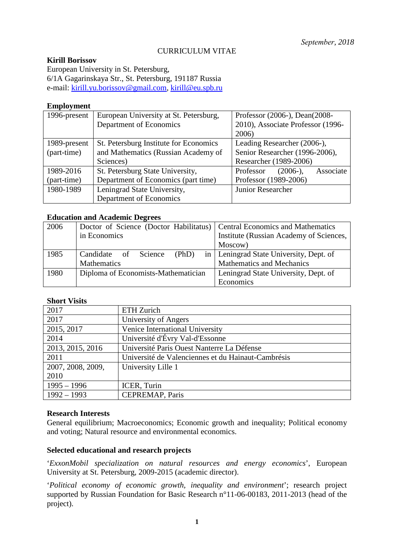# CURRICULUM VITAE

### **Kirill Borissov**

European University in St. Petersburg, 6/1A Gagarinskaya Str., St. Petersburg, 191187 Russia e-mail: [kirill.yu.borissov@gmail.com,](mailto:kirill.yu.borissov@gmail.com) [kirill@eu.spb.ru](mailto:kirill@eu.spb.ru)

### **Employment**

| 1996-present | European University at St. Petersburg, | Professor (2006-), Dean(2008-        |  |
|--------------|----------------------------------------|--------------------------------------|--|
|              | Department of Economics                | 2010), Associate Professor (1996-    |  |
|              |                                        | 2006)                                |  |
| 1989-present | St. Petersburg Institute for Economics | Leading Researcher (2006-),          |  |
| (part-time)  | and Mathematics (Russian Academy of    | Senior Researcher (1996-2006),       |  |
|              | Sciences)                              | Researcher (1989-2006)               |  |
| 1989-2016    | St. Petersburg State University,       | Associate<br>$(2006-),$<br>Professor |  |
| (part-time)  | Department of Economics (part time)    | Professor (1989-2006)                |  |
| 1980-1989    | Leningrad State University,            | Junior Researcher                    |  |
|              | Department of Economics                |                                      |  |

# **Education and Academic Degrees**

| 2006 | Doctor of Science (Doctor Habilitatus)   Central Economics and Mathematics |                                           |
|------|----------------------------------------------------------------------------|-------------------------------------------|
|      | in Economics                                                               | Institute (Russian Academy of Sciences,   |
|      |                                                                            | Moscow)                                   |
| 1985 | Candidate of<br>Science<br>(PhD)                                           | in   Leningrad State University, Dept. of |
|      | <b>Mathematics</b>                                                         | Mathematics and Mechanics                 |
| 1980 | Diploma of Economists-Mathematician                                        | Leningrad State University, Dept. of      |
|      |                                                                            | Economics                                 |

# **Short Visits**

| 2017              | ETH Zurich                                         |
|-------------------|----------------------------------------------------|
| 2017              | University of Angers                               |
| 2015, 2017        | Venice International University                    |
| 2014              | Université d'Évry Val-d'Essonne                    |
| 2013, 2015, 2016  | Université Paris Ouest Nanterre La Défense         |
| 2011              | Université de Valenciennes et du Hainaut-Cambrésis |
| 2007, 2008, 2009, | University Lille 1                                 |
| 2010              |                                                    |
| $1995 - 1996$     | ICER, Turin                                        |
| $1992 - 1993$     | <b>CEPREMAP, Paris</b>                             |

### **Research Interests**

General equilibrium; Macroeconomics; Economic growth and inequality; Political economy and voting; Natural resource and environmental economics.

### **Selected educational and research projects**

'*ExxonMobil specialization on natural resources and energy economics*', European University at St. Petersburg, 2009-2015 (academic director).

'*Political economy of economic growth, inequality and environment*'; research project supported by Russian Foundation for Basic Research n°11-06-00183, 2011-2013 (head of the project).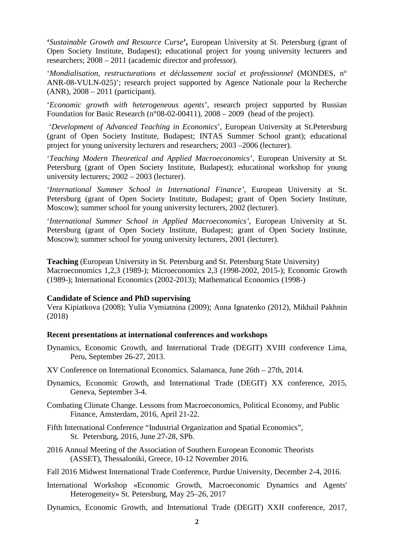**'***Sustainable Growth and Resource Curse***',** European University at St. Petersburg (grant of Open Society Institute, Budapest); educational project for young university lecturers and researchers; 2008 – 2011 (academic director and professor).

'*Mondialisation, restructurations et déclassement social et professionnel* (MONDES, n° ANR-08-VULN-025)'; research project supported by Agence Nationale pour la Recherche (ANR), 2008 – 2011 (participant).

'*Economic growth with heterogeneous agents*', research project supported by Russian Foundation for Basic Research (n°08-02-00411), 2008 – 2009 (head of the project).

'*Development of Advanced Teaching in Economics*', European University at St.Petersburg (grant of Open Society Institute, Budapest; INTAS Summer School grant); educational project for young university lecturers and researchers; 2003 –2006 (lecturer).

'*Teaching Modern Theoretical and Applied Macroeconomics*', European University at St. Petersburg (grant of Open Society Institute, Budapest); educational workshop for young university lecturers; 2002 – 2003 (lecturer).

'*International Summer School in International Finance'*, European University at St. Petersburg (grant of Open Society Institute, Budapest; grant of Open Society Institute, Moscow); summer school for young university lecturers, 2002 (lecturer).

'*International Summer School in Applied Macroeconomics'*, European University at St. Petersburg (grant of Open Society Institute, Budapest; grant of Open Society Institute, Moscow); summer school for young university lecturers, 2001 (lecturer).

**Teaching** (European University in St. Petersburg and St. Petersburg State University) Macroeconomics 1,2,3 (1989-); Microeconomics 2,3 (1998-2002, 2015-); Economic Growth (1989-); International Economics (2002-2013); Mathematical Economics (1998-)

#### **Candidate of Science and PhD supervising**

Vera Kipiatkova (2008); Yulia Vymiatnina (2009); Anna Ignatenko (2012), Mikhail Pakhnin (2018)

#### **Recent presentations at international conferences and workshops**

- Dynamics, Economic Growth, and International Trade (DEGIT) XVIII conference Lima, Peru, September 26-27, 2013.
- XV Conference on International Economics. Salamanca, June 26th 27th, 2014.
- Dynamics, Economic Growth, and International Trade (DEGIT) XX conference, 2015, Geneva, September 3-4.
- Combating Climate Change. Lessons from Macroeconomics, Political Economy, and Public Finance, Amsterdam, 2016, April 21-22.
- Fifth International Conference "Industrial Organization and Spatial Economics", St. Petersburg, 2016, June 27-28, SPb.
- 2016 Annual Meeting of the Association of Southern European Economic Theorists (ASSET), Thessaloniki, Greece, 10-12 November 2016.
- Fall 2016 Midwest International Trade Conference, Purdue University, December 2-4, 2016.
- International Workshop «Economic Growth, Macroeconomic Dynamics and Agents' Heterogeneity» St. Petersburg, May 25–26, 2017
- Dynamics, Economic Growth, and International Trade (DEGIT) XXII conference, 2017,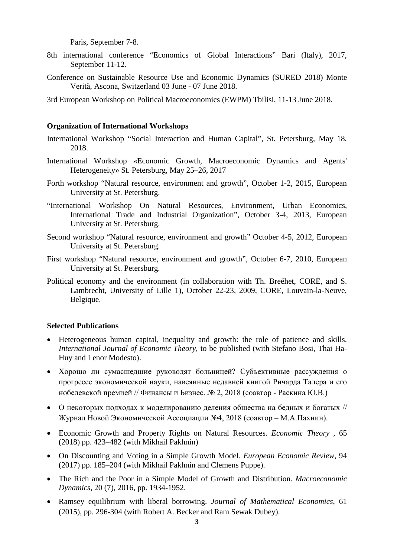Paris, September 7-8.

- 8th international conference "Economics of Global Interactions" Bari (Italy), 2017, September 11-12.
- Conference on Sustainable Resource Use and Economic Dynamics (SURED 2018) Monte Verità, Ascona, Switzerland 03 June - 07 June 2018.
- 3rd European Workshop on Political Macroeconomics (EWPM) Tbilisi, 11-13 June 2018.

#### **Organization of International Workshops**

- International Workshop "Social Interaction and Human Capital", St. Petersburg, May 18, 2018.
- International Workshop «Economic Growth, Macroeconomic Dynamics and Agents' Heterogeneity» St. Petersburg, May 25–26, 2017
- Forth workshop "Natural resource, environment and growth", October 1-2, 2015, European University at St. Petersburg.
- "International Workshop On Natural Resources, Environment, Urban Economics, International Trade and Industrial Organization", October 3-4, 2013, European University at St. Petersburg.
- Second workshop "Natural resource, environment and growth" October 4-5, 2012, European University at St. Petersburg.
- First workshop "Natural resource, environment and growth", October 6-7, 2010, European University at St. Petersburg.
- Political economy and the environment (in collaboration with Th. Breéhet, CORE, and S. Lambrecht, University of Lille 1), October 22-23, 2009, CORE, Louvain-la-Neuve, Belgique.

#### **Selected Publications**

- Heterogeneous human capital, inequality and growth: the role of patience and skills. *International Journal of Economic Theory*, to be published (with Stefano Bosi, Thai Ha-Huy and Lenor Modesto).
- Хорошо ли сумасшедшие руководят больницей? Субъективные рассуждения о прогрессе экономической науки, навеянные недавней книгой Ричарда Талера и его нобелевской премией // Финансы и Бизнес. № 2, 2018 (соавтор - Раскина Ю.В.)
- О некоторых подходах к моделированию деления общества на бедных и богатых // Журнал Новой Экономической Ассоциации №4, 2018 (соавтор – М.А.Пахнин).
- Economic Growth and Property Rights on Natural Resources. *Economic Theory* , 65 (2018) pp. 423–482 (with Mikhail Pakhnin)
- On Discounting and Voting in a Simple Growth Model. *European Economic Review*, 94 (2017) pp. 185–204 (with Mikhail Pakhnin and Clemens Puppe).
- The Rich and the Poor in a Simple Model of Growth and Distribution. *Macroeconomic Dynamics*, 20 (7), 2016, pp. 1934-1952.
- Ramsey equilibrium with liberal borrowing. *Journal of Mathematical Economics*, 61 (2015), pp. 296-304 (with Robert A. Becker and Ram Sewak Dubey).